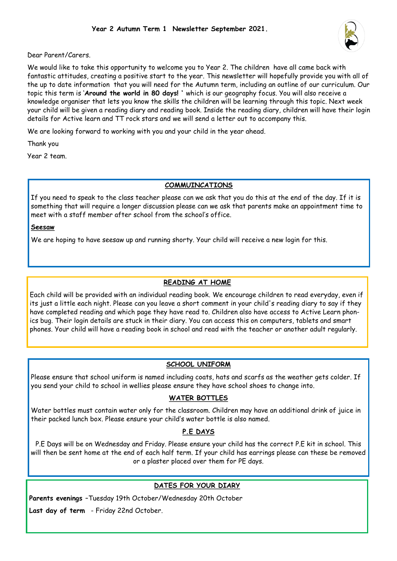

Dear Parent/Carers.

We would like to take this opportunity to welcome you to Year 2. The children have all came back with fantastic attitudes, creating a positive start to the year. This newsletter will hopefully provide you with all of the up to date information that you will need for the Autumn term, including an outline of our curriculum. Our topic this term is '**Around the world in 80 days! '** which is our geography focus. You will also receive a knowledge organiser that lets you know the skills the children will be learning through this topic. Next week your child will be given a reading diary and reading book. Inside the reading diary, children will have their login details for Active learn and TT rock stars and we will send a letter out to accompany this.

We are looking forward to working with you and your child in the year ahead.

Thank you

Year 2 team.

#### **COMMUINCATIONS**

If you need to speak to the class teacher please can we ask that you do this at the end of the day. If it is something that will require a longer discussion please can we ask that parents make an appointment time to meet with a staff member after school from the school's office.

#### **Seesaw**

We are hoping to have seesaw up and running shorty. Your child will receive a new login for this.

#### **READING AT HOME**

Each child will be provided with an individual reading book. We encourage children to read everyday, even if its just a little each night. Please can you leave a short comment in your child's reading diary to say if they have completed reading and which page they have read to. Children also have access to Active Learn phonics bug. Their login details are stuck in their diary. You can access this on computers, tablets and smart phones. Your child will have a reading book in school and read with the teacher or another adult regularly.

### **SCHOOL UNIFORM**

Please ensure that school uniform is named including coats, hats and scarfs as the weather gets colder. If you send your child to school in wellies please ensure they have school shoes to change into.

#### **WATER BOTTLES**

Water bottles must contain water only for the classroom. Children may have an additional drink of juice in their packed lunch box. Please ensure your child's water bottle is also named.

#### **P.E DAYS**

P.E Days will be on Wednesday and Friday. Please ensure your child has the correct P.E kit in school. This will then be sent home at the end of each half term. If your child has earrings please can these be removed or a plaster placed over them for PE days.

### **DATES FOR YOUR DIARY**

**Parents evenings** –Tuesday 19th October/Wednesday 20th October

**Last day of term** - Friday 22nd October.